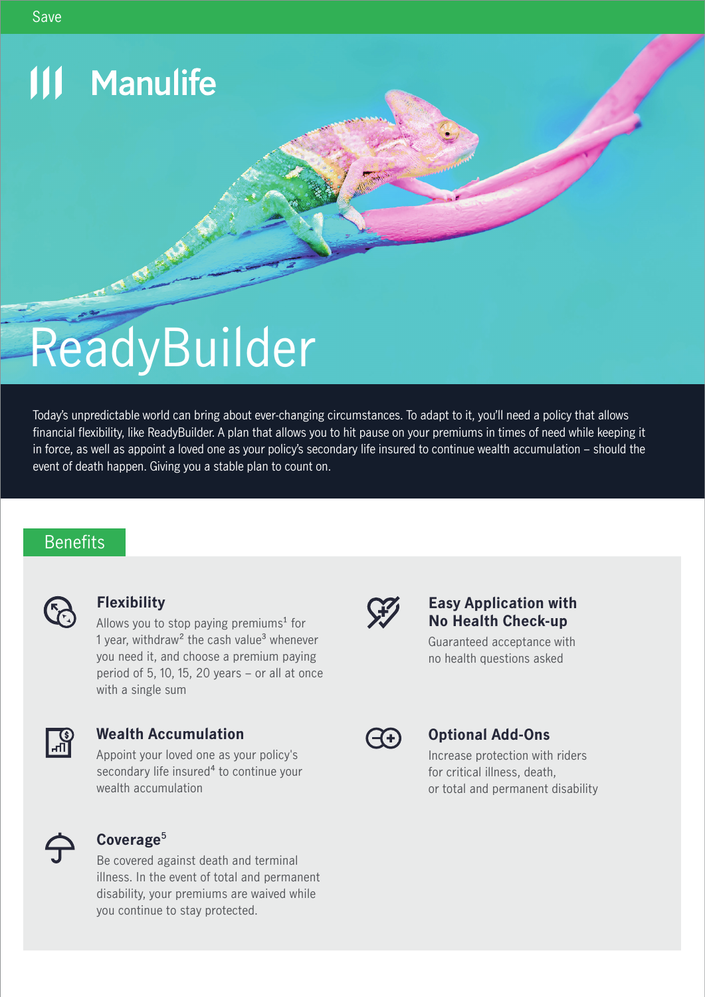# **111 Manulife**

# ReadyBuilder

Today's unpredictable world can bring about ever-changing circumstances. To adapt to it, you'll need a policy that allows financial flexibility, like ReadyBuilder. A plan that allows you to hit pause on your premiums in times of need while keeping it in force, as well as appoint a loved one as your policy's secondary life insured to continue wealth accumulation – should the event of death happen. Giving you a stable plan to count on.

# **Benefits**



## **Flexibility**

Allows you to stop paying premiums<sup>1</sup> for 1 year, withdraw<sup>2</sup> the cash value<sup>3</sup> whenever you need it, and choose a premium paying period of 5, 10, 15, 20 years – or all at once with a single sum



#### **Wealth Accumulation**

Appoint your loved one as your policy's secondary life insured<sup>4</sup> to continue your wealth accumulation



## **Coverage**5

Be covered against death and terminal illness. In the event of total and permanent disability, your premiums are waived while you continue to stay protected.



#### **Easy Application with No Health Check-up**

Guaranteed acceptance with no health questions asked

|--|

## **Optional Add-Ons**

Increase protection with riders for critical illness, death, or total and permanent disability